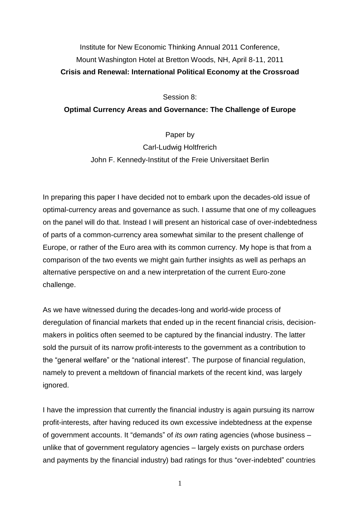## Institute for New Economic Thinking Annual 2011 Conference, Mount Washington Hotel at Bretton Woods, NH, April 8-11, 2011 **Crisis and Renewal: International Political Economy at the Crossroad**

Session 8:

## **Optimal Currency Areas and Governance: The Challenge of Europe**

Paper by

Carl-Ludwig Holtfrerich John F. Kennedy-Institut of the Freie Universitaet Berlin

In preparing this paper I have decided not to embark upon the decades-old issue of optimal-currency areas and governance as such. I assume that one of my colleagues on the panel will do that. Instead I will present an historical case of over-indebtedness of parts of a common-currency area somewhat similar to the present challenge of Europe, or rather of the Euro area with its common currency. My hope is that from a comparison of the two events we might gain further insights as well as perhaps an alternative perspective on and a new interpretation of the current Euro-zone challenge.

As we have witnessed during the decades-long and world-wide process of deregulation of financial markets that ended up in the recent financial crisis, decisionmakers in politics often seemed to be captured by the financial industry. The latter sold the pursuit of its narrow profit-interests to the government as a contribution to the "general welfare" or the "national interest". The purpose of financial regulation, namely to prevent a meltdown of financial markets of the recent kind, was largely ignored.

I have the impression that currently the financial industry is again pursuing its narrow profit-interests, after having reduced its own excessive indebtedness at the expense of government accounts. It "demands" of *its own* rating agencies (whose business – unlike that of government regulatory agencies – largely exists on purchase orders and payments by the financial industry) bad ratings for thus "over-indebted" countries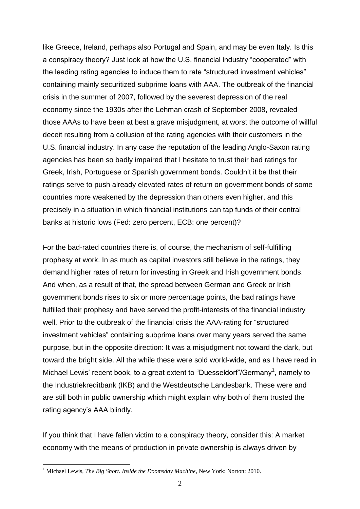like Greece, Ireland, perhaps also Portugal and Spain, and may be even Italy. Is this a conspiracy theory? Just look at how the U.S. financial industry "cooperated" with the leading rating agencies to induce them to rate "structured investment vehicles" containing mainly securitized subprime loans with AAA. The outbreak of the financial crisis in the summer of 2007, followed by the severest depression of the real economy since the 1930s after the Lehman crash of September 2008, revealed those AAAs to have been at best a grave misjudgment, at worst the outcome of willful deceit resulting from a collusion of the rating agencies with their customers in the U.S. financial industry. In any case the reputation of the leading Anglo-Saxon rating agencies has been so badly impaired that I hesitate to trust their bad ratings for Greek, Irish, Portuguese or Spanish government bonds. Couldn't it be that their ratings serve to push already elevated rates of return on government bonds of some countries more weakened by the depression than others even higher, and this precisely in a situation in which financial institutions can tap funds of their central banks at historic lows (Fed: zero percent, ECB: one percent)?

For the bad-rated countries there is, of course, the mechanism of self-fulfilling prophesy at work. In as much as capital investors still believe in the ratings, they demand higher rates of return for investing in Greek and Irish government bonds. And when, as a result of that, the spread between German and Greek or Irish government bonds rises to six or more percentage points, the bad ratings have fulfilled their prophesy and have served the profit-interests of the financial industry well. Prior to the outbreak of the financial crisis the AAA-rating for "structured investment vehicles" containing subprime loans over many years served the same purpose, but in the opposite direction: It was a misjudgment not toward the dark, but toward the bright side. All the while these were sold world-wide, and as I have read in Michael Lewis' recent book, to a great extent to "Duesseldorf"/Germany<sup>1</sup>, namely to the Industriekreditbank (IKB) and the Westdeutsche Landesbank. These were and are still both in public ownership which might explain why both of them trusted the rating agency's AAA blindly.

If you think that I have fallen victim to a conspiracy theory, consider this: A market economy with the means of production in private ownership is always driven by

<sup>1</sup> Michael Lewis, *The Big Short. Inside the Doomsday Machine*, New York: Norton: 2010.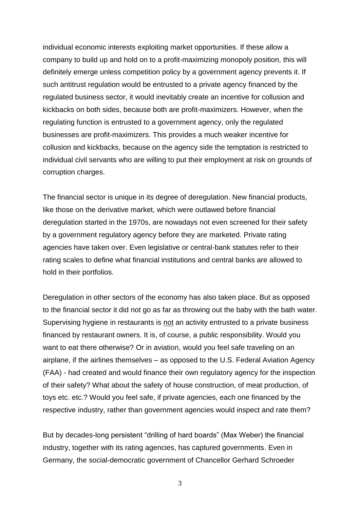individual economic interests exploiting market opportunities. If these allow a company to build up and hold on to a profit-maximizing monopoly position, this will definitely emerge unless competition policy by a government agency prevents it. If such antitrust regulation would be entrusted to a private agency financed by the regulated business sector, it would inevitably create an incentive for collusion and kickbacks on both sides, because both are profit-maximizers. However, when the regulating function is entrusted to a government agency, only the regulated businesses are profit-maximizers. This provides a much weaker incentive for collusion and kickbacks, because on the agency side the temptation is restricted to individual civil servants who are willing to put their employment at risk on grounds of corruption charges.

The financial sector is unique in its degree of deregulation. New financial products, like those on the derivative market, which were outlawed before financial deregulation started in the 1970s, are nowadays not even screened for their safety by a government regulatory agency before they are marketed. Private rating agencies have taken over. Even legislative or central-bank statutes refer to their rating scales to define what financial institutions and central banks are allowed to hold in their portfolios.

Deregulation in other sectors of the economy has also taken place. But as opposed to the financial sector it did not go as far as throwing out the baby with the bath water. Supervising hygiene in restaurants is not an activity entrusted to a private business financed by restaurant owners. It is, of course, a public responsibility. Would you want to eat there otherwise? Or in aviation, would you feel safe traveling on an airplane, if the airlines themselves – as opposed to the U.S. Federal Aviation Agency (FAA) - had created and would finance their own regulatory agency for the inspection of their safety? What about the safety of house construction, of meat production, of toys etc. etc.? Would you feel safe, if private agencies, each one financed by the respective industry, rather than government agencies would inspect and rate them?

But by decades-long persistent "drilling of hard boards" (Max Weber) the financial industry, together with its rating agencies, has captured governments. Even in Germany, the social-democratic government of Chancellor Gerhard Schroeder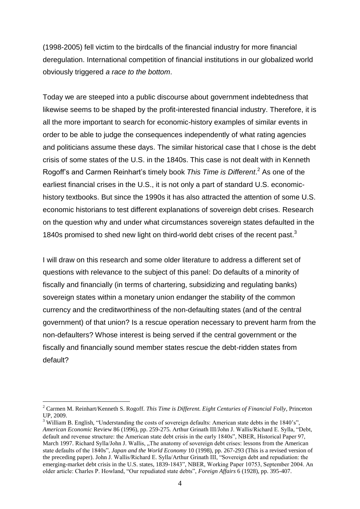(1998-2005) fell victim to the birdcalls of the financial industry for more financial deregulation. International competition of financial institutions in our globalized world obviously triggered *a race to the bottom*.

Today we are steeped into a public discourse about government indebtedness that likewise seems to be shaped by the profit-interested financial industry. Therefore, it is all the more important to search for economic-history examples of similar events in order to be able to judge the consequences independently of what rating agencies and politicians assume these days. The similar historical case that I chose is the debt crisis of some states of the U.S. in the 1840s. This case is not dealt with in Kenneth Rogoff's and Carmen Reinhart's timely book *This Time is Different*. <sup>2</sup> As one of the earliest financial crises in the U.S., it is not only a part of standard U.S. economichistory textbooks. But since the 1990s it has also attracted the attention of some U.S. economic historians to test different explanations of sovereign debt crises. Research on the question why and under what circumstances sovereign states defaulted in the 1840s promised to shed new light on third-world debt crises of the recent past.<sup>3</sup>

I will draw on this research and some older literature to address a different set of questions with relevance to the subject of this panel: Do defaults of a minority of fiscally and financially (in terms of chartering, subsidizing and regulating banks) sovereign states within a monetary union endanger the stability of the common currency and the creditworthiness of the non-defaulting states (and of the central government) of that union? Is a rescue operation necessary to prevent harm from the non-defaulters? Whose interest is being served if the central government or the fiscally and financially sound member states rescue the debt-ridden states from default?

<sup>2</sup> Carmen M. Reinhart/Kenneth S. Rogoff. *This Time is Different. Eight Centuries of Financial Folly*, Princeton UP, 2009.

<sup>&</sup>lt;sup>3</sup> William B. English, "Understanding the costs of sovereign defaults: American state debts in the 1840's". *American Economic* Review 86 (1996), pp. 259-275. Arthur Grinath III/John J. Wallis/Richard E. Sylla, "Debt, default and revenue structure: the American state debt crisis in the early 1840s", NBER, Historical Paper 97, March 1997. Richard Sylla/John J. Wallis, "The anatomy of sovereign debt crises: lessons from the American state defaults of the 1840s", *Japan and the World Economy* 10 (1998), pp. 267-293 (This is a revised version of the preceding paper). John J. Wallis/Richard E. Sylla/Arthur Grinath III, "Sovereign debt and repudiation: the emerging-market debt crisis in the U.S. states, 1839-1843", NBER, Working Paper 10753, September 2004. An older article: Charles P. Howland, "Our repudiated state debts", *Foreign Affairs* 6 (1928), pp. 395-407.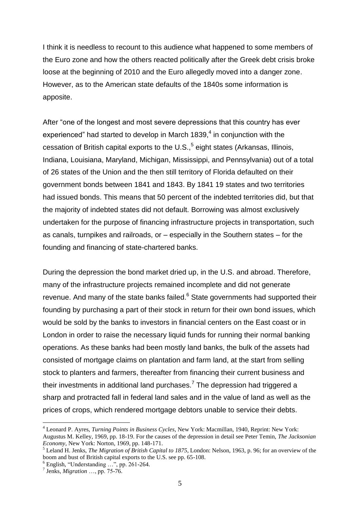I think it is needless to recount to this audience what happened to some members of the Euro zone and how the others reacted politically after the Greek debt crisis broke loose at the beginning of 2010 and the Euro allegedly moved into a danger zone. However, as to the American state defaults of the 1840s some information is apposite.

After "one of the longest and most severe depressions that this country has ever experienced" had started to develop in March 1839, $4$  in conjunction with the cessation of British capital exports to the U.S., $<sup>5</sup>$  eight states (Arkansas, Illinois,</sup> Indiana, Louisiana, Maryland, Michigan, Mississippi, and Pennsylvania) out of a total of 26 states of the Union and the then still territory of Florida defaulted on their government bonds between 1841 and 1843. By 1841 19 states and two territories had issued bonds. This means that 50 percent of the indebted territories did, but that the majority of indebted states did not default. Borrowing was almost exclusively undertaken for the purpose of financing infrastructure projects in transportation, such as canals, turnpikes and railroads, or – especially in the Southern states – for the founding and financing of state-chartered banks.

During the depression the bond market dried up, in the U.S. and abroad. Therefore, many of the infrastructure projects remained incomplete and did not generate revenue. And many of the state banks failed.<sup>6</sup> State governments had supported their founding by purchasing a part of their stock in return for their own bond issues, which would be sold by the banks to investors in financial centers on the East coast or in London in order to raise the necessary liquid funds for running their normal banking operations. As these banks had been mostly land banks, the bulk of the assets had consisted of mortgage claims on plantation and farm land, at the start from selling stock to planters and farmers, thereafter from financing their current business and their investments in additional land purchases.<sup>7</sup> The depression had triggered a sharp and protracted fall in federal land sales and in the value of land as well as the prices of crops, which rendered mortgage debtors unable to service their debts.

<sup>4</sup> Leonard P. Ayres, *Turning Points in Business Cycles*, New York: Macmillan, 1940, Reprint: New York: Augustus M. Kelley, 1969, pp. 18-19. For the causes of the depression in detail see Peter Temin, *The Jacksonian Economy*, New York: Norton, 1969, pp. 148-171.

<sup>5</sup> Leland H. Jenks, *The Migration of British Capital to 1875*, London: Nelson, 1963, p. 96; for an overview of the boom and bust of British capital exports to the U.S. see pp. 65-108.

 $^6$  English, "Understanding ...", pp. 261-264.<br><sup>7</sup> Jenks, *Migration* ..., pp. 75-76.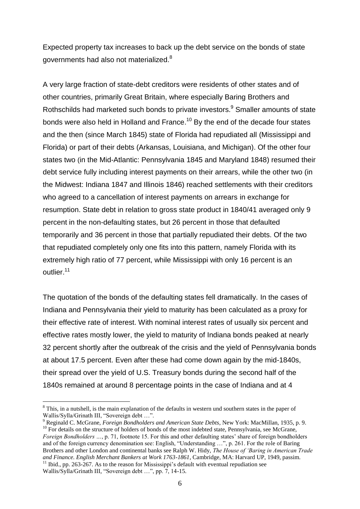Expected property tax increases to back up the debt service on the bonds of state governments had also not materialized. $^8$ 

A very large fraction of state-debt creditors were residents of other states and of other countries, primarily Great Britain, where especially Baring Brothers and Rothschilds had marketed such bonds to private investors.<sup>9</sup> Smaller amounts of state bonds were also held in Holland and France.<sup>10</sup> By the end of the decade four states and the then (since March 1845) state of Florida had repudiated all (Mississippi and Florida) or part of their debts (Arkansas, Louisiana, and Michigan). Of the other four states two (in the Mid-Atlantic: Pennsylvania 1845 and Maryland 1848) resumed their debt service fully including interest payments on their arrears, while the other two (in the Midwest: Indiana 1847 and Illinois 1846) reached settlements with their creditors who agreed to a cancellation of interest payments on arrears in exchange for resumption. State debt in relation to gross state product in 1840/41 averaged only 9 percent in the non-defaulting states, but 26 percent in those that defaulted temporarily and 36 percent in those that partially repudiated their debts. Of the two that repudiated completely only one fits into this pattern, namely Florida with its extremely high ratio of 77 percent, while Mississippi with only 16 percent is an outlier.<sup>11</sup>

The quotation of the bonds of the defaulting states fell dramatically. In the cases of Indiana and Pennsylvania their yield to maturity has been calculated as a proxy for their effective rate of interest. With nominal interest rates of usually six percent and effective rates mostly lower, the yield to maturity of Indiana bonds peaked at nearly 32 percent shortly after the outbreak of the crisis and the yield of Pennsylvania bonds at about 17.5 percent. Even after these had come down again by the mid-1840s, their spread over the yield of U.S. Treasury bonds during the second half of the 1840s remained at around 8 percentage points in the case of Indiana and at 4

<sup>&</sup>lt;sup>8</sup> This, in a nutshell, is the main explanation of the defaults in western und southern states in the paper of Wallis/Sylla/Grinath III, "Sovereign debt …".

<sup>9</sup> Reginald C. McGrane, *Foreign Bondholders and American State Debts*, New York: MacMillan, 1935, p. 9.  $10$  For details on the structure of holders of bonds of the most indebted state, Pennsylvania, see McGrane, *Foreign Bondholders …*, p. 71, footnote 15. For this and other defaulting states' share of foreign bondholders and of the foreign currency denomination see: English, "Understanding …", p. 261. For the role of Baring Brothers and other London and continental banks see Ralph W. Hidy, *The House of 'Baring in American Trade and Finance. English Merchant Bankers at Work 1763-1861*, Cambridge, MA: Harvard UP, 1949, passim.  $11$  Ibid., pp. 263-267. As to the reason for Mississippi's default with eventual repudiation see Wallis/Sylla/Grinath III, "Sovereign debt …", pp. 7, 14-15.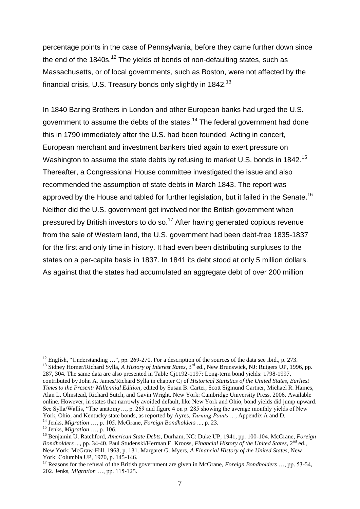percentage points in the case of Pennsylvania, before they came further down since the end of the  $1840s$ .<sup>12</sup> The yields of bonds of non-defaulting states, such as Massachusetts, or of local governments, such as Boston, were not affected by the financial crisis, U.S. Treasury bonds only slightly in 1842. $^\mathrm{13}$ 

In 1840 Baring Brothers in London and other European banks had urged the U.S. government to assume the debts of the states.<sup>14</sup> The federal government had done this in 1790 immediately after the U.S. had been founded. Acting in concert, European merchant and investment bankers tried again to exert pressure on Washington to assume the state debts by refusing to market U.S. bonds in 1842.<sup>15</sup> Thereafter, a Congressional House committee investigated the issue and also recommended the assumption of state debts in March 1843. The report was approved by the House and tabled for further legislation, but it failed in the Senate.<sup>16</sup> Neither did the U.S. government get involved nor the British government when pressured by British investors to do so.<sup>17</sup> After having generated copious revenue from the sale of Western land, the U.S. government had been debt-free 1835-1837 for the first and only time in history. It had even been distributing surpluses to the states on a per-capita basis in 1837. In 1841 its debt stood at only 5 million dollars. As against that the states had accumulated an aggregate debt of over 200 million

<sup>&</sup>lt;sup>12</sup> English, "Understanding ...", pp. 269-270. For a description of the sources of the data see ibid., p. 273. <sup>13</sup> Sidney Homer/Richard Sylla, *A History of Interest Rates*, 3<sup>rd</sup> ed., New Brunswick, NJ: Rutgers UP, 1996, pp. 287, 304. The same data are also presented in Table Cj1192-1197: Long-term bond yields: 1798-1997, contributed by John A. James/Richard Sylla in chapter Cj of *Historical Statistics of the United States, Earliest Times to the Present: Millennial Edition,* edited by Susan B. Carter, Scott Sigmund Gartner, Michael R. Haines, Alan L. Olmstead, Richard Sutch, and Gavin Wright. New York: Cambridge University Press, 2006. Available online. However, in states that narrowly avoided default, like New York and Ohio, bond yields did jump upward. See Sylla/Wallis, "The anatomy…, p. 269 and figure 4 on p. 285 showing the average monthly yields of New York, Ohio, and Kentucky state bonds, as reported by Ayres, *Turning Points …*, Appendix A and D.

<sup>14</sup> Jenks, *Migration* …, p. 105. McGrane, *Foreign Bondholders* ..., p. 23.

<sup>15</sup> Jenks, *Migration* …, p. 106.

<sup>16</sup> Benjamin U. Ratchford, *American State Debts*, Durham, NC: Duke UP, 1941, pp. 100-104. McGrane, *Foreign Bondholders* ..., pp. 34-40. Paul Studenski/Herman E. Krooss, *Financial History of the United States*, 2nd ed., New York: McGraw-Hill, 1963, p. 131. Margaret G. Myers, *A Financial History of the United States*, New York: Columbia UP, 1970, p. 145-146.

<sup>17</sup> Reasons for the refusal of the British government are given in McGrane, *Foreign Bondholders* …, pp. 53-54, 202. Jenks, *Migration* …, pp. 115-125.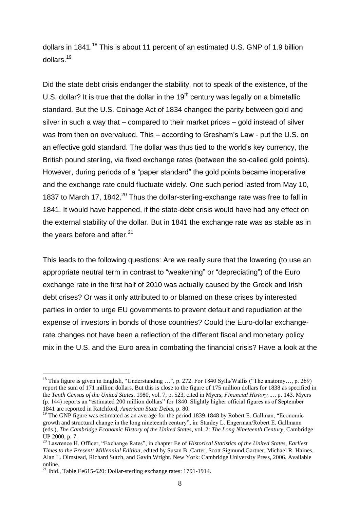dollars in 1841.<sup>18</sup> This is about 11 percent of an estimated U.S. GNP of 1.9 billion dollars.<sup>19</sup>

Did the state debt crisis endanger the stability, not to speak of the existence, of the U.S. dollar? It is true that the dollar in the  $19<sup>th</sup>$  century was legally on a bimetallic standard. But the U.S. Coinage Act of 1834 changed the parity between gold and silver in such a way that – compared to their market prices – gold instead of silver was from then on overvalued. This – according to Gresham's Law - put the U.S. on an effective gold standard. The dollar was thus tied to the world's key currency, the British pound sterling, via fixed exchange rates (between the so-called gold points). However, during periods of a "paper standard" the gold points became inoperative and the exchange rate could fluctuate widely. One such period lasted from May 10, 1837 to March 17, 1842.<sup>20</sup> Thus the dollar-sterling-exchange rate was free to fall in 1841. It would have happened, if the state-debt crisis would have had any effect on the external stability of the dollar. But in 1841 the exchange rate was as stable as in the years before and after. $21$ 

This leads to the following questions: Are we really sure that the lowering (to use an appropriate neutral term in contrast to "weakening" or "depreciating") of the Euro exchange rate in the first half of 2010 was actually caused by the Greek and Irish debt crises? Or was it only attributed to or blamed on these crises by interested parties in order to urge EU governments to prevent default and repudiation at the expense of investors in bonds of those countries? Could the Euro-dollar exchangerate changes not have been a reflection of the different fiscal and monetary policy mix in the U.S. and the Euro area in combating the financial crisis? Have a look at the

<sup>&</sup>lt;sup>18</sup> This figure is given in English, "Understanding ...", p. 272. For 1840 Sylla/Wallis ("The anatomy..., p. 269) report the sum of 171 million dollars. But this is close to the figure of 175 million dollars for 1838 as specified in the *Tenth Census of the United States*, 1980, vol. 7, p. 523, cited in Myers, *Financial History,…*, p. 143. Myers (p. 144) reports an "estimated 200 million dollars" for 1840. Slightly higher official figures as of September 1841 are reported in Ratchford, *American State Debts*, p. 80.

<sup>&</sup>lt;sup>19</sup> The GNP figure was estimated as an average for the period 1839-1848 by Robert E. Gallman, "Economic growth and structural change in the long nineteenth century", in: Stanley L. Engerman/Robert E. Gallmann (eds.), *The Cambridge Economic History of the United States*, vol. 2: *The Long Nineteenth Century*, Cambridge UP 2000, p. 7.

<sup>20</sup> Lawrence H. Officer, "Exchange Rates", in chapter Ee of *Historical Statistics of the United States, Earliest Times to the Present: Millennial Edition,* edited by Susan B. Carter, Scott Sigmund Gartner, Michael R. Haines, Alan L. Olmstead, Richard Sutch, and Gavin Wright. New York: Cambridge University Press, 2006. Available online.

<sup>21</sup> Ibid., Table Ee615-620: Dollar-sterling exchange rates: 1791-1914.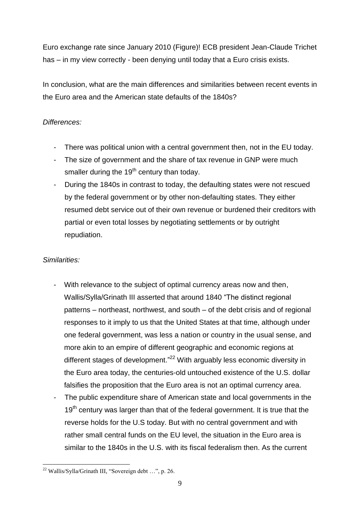Euro exchange rate since January 2010 (Figure)! ECB president Jean-Claude Trichet has – in my view correctly - been denying until today that a Euro crisis exists.

In conclusion, what are the main differences and similarities between recent events in the Euro area and the American state defaults of the 1840s?

## *Differences:*

- There was political union with a central government then, not in the EU today.
- The size of government and the share of tax revenue in GNP were much smaller during the  $19<sup>th</sup>$  century than today.
- During the 1840s in contrast to today, the defaulting states were not rescued by the federal government or by other non-defaulting states. They either resumed debt service out of their own revenue or burdened their creditors with partial or even total losses by negotiating settlements or by outright repudiation.

## *Similarities:*

- With relevance to the subject of optimal currency areas now and then, Wallis/Sylla/Grinath III asserted that around 1840 "The distinct regional patterns – northeast, northwest, and south – of the debt crisis and of regional responses to it imply to us that the United States at that time, although under one federal government, was less a nation or country in the usual sense, and more akin to an empire of different geographic and economic regions at different stages of development."<sup>22</sup> With arguably less economic diversity in the Euro area today, the centuries-old untouched existence of the U.S. dollar falsifies the proposition that the Euro area is not an optimal currency area.
- The public expenditure share of American state and local governments in the 19<sup>th</sup> century was larger than that of the federal government. It is true that the reverse holds for the U.S today. But with no central government and with rather small central funds on the EU level, the situation in the Euro area is similar to the 1840s in the U.S. with its fiscal federalism then. As the current

<sup>1</sup>  $^{22}$  Wallis/Sylla/Grinath III, "Sovereign debt ...", p. 26.